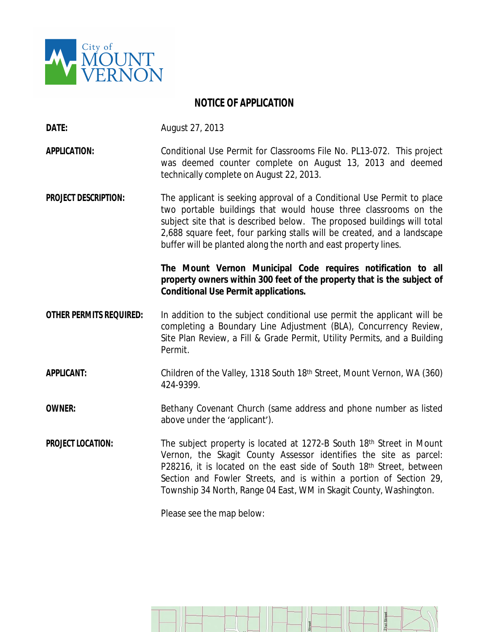

## **NOTICE OF APPLICATION**

**DATE:** August 27, 2013

**APPLICATION:** Conditional Use Permit for Classrooms File No. PL13-072. This project was deemed counter complete on August 13, 2013 and deemed technically complete on August 22, 2013.

**PROJECT DESCRIPTION:** The applicant is seeking approval of a Conditional Use Permit to place two portable buildings that would house three classrooms on the subject site that is described below. The proposed buildings will total 2,688 square feet, four parking stalls will be created, and a landscape buffer will be planted along the north and east property lines.

## **The Mount Vernon Municipal Code requires notification to all property owners within 300 feet of the property that is the subject of Conditional Use Permit applications.**

- **OTHER PERMITS REQUIRED:** In addition to the subject conditional use permit the applicant will be completing a Boundary Line Adjustment (BLA), Concurrency Review, Site Plan Review, a Fill & Grade Permit, Utility Permits, and a Building Permit.
- **APPLICANT:** Children of the Valley, 1318 South 18th Street, Mount Vernon, WA (360) 424-9399.

**OWNER:** Bethany Covenant Church (same address and phone number as listed above under the 'applicant').

**PROJECT LOCATION:** The subject property is located at 1272-B South 18<sup>th</sup> Street in Mount Vernon, the Skagit County Assessor identifies the site as parcel: P28216, it is located on the east side of South 18<sup>th</sup> Street, between Section and Fowler Streets, and is within a portion of Section 29, Township 34 North, Range 04 East, WM in Skagit County, Washington.

Please see the map below: